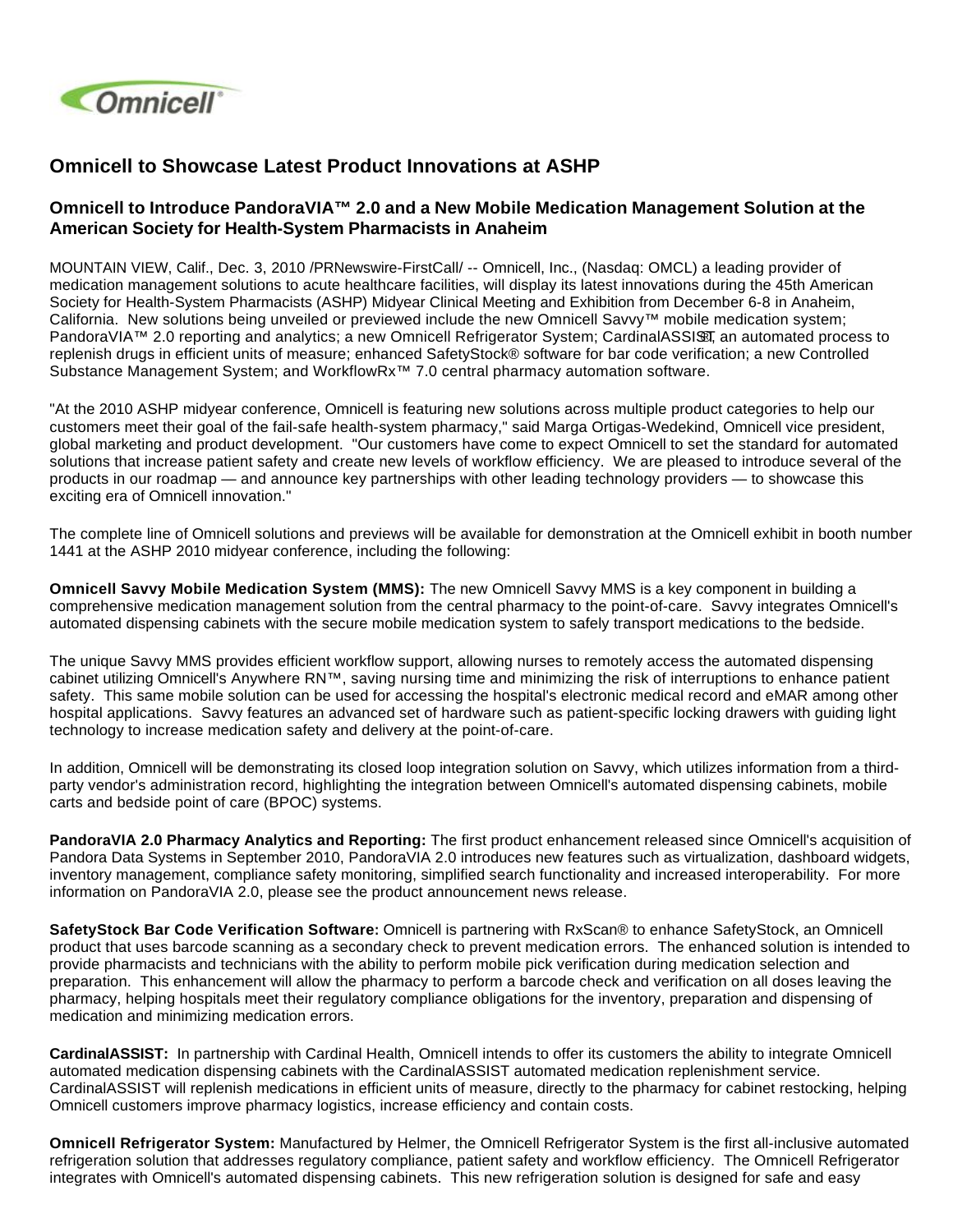

## **Omnicell to Showcase Latest Product Innovations at ASHP**

## **Omnicell to Introduce PandoraVIA™ 2.0 and a New Mobile Medication Management Solution at the American Society for Health-System Pharmacists in Anaheim**

MOUNTAIN VIEW, Calif., Dec. 3, 2010 /PRNewswire-FirstCall/ -- Omnicell, Inc., (Nasdaq: OMCL) a leading provider of medication management solutions to acute healthcare facilities, will display its latest innovations during the 45th American Society for Health-System Pharmacists (ASHP) Midyear Clinical Meeting and Exhibition from December 6-8 in Anaheim, California. New solutions being unveiled or previewed include the new Omnicell Savvy™ mobile medication system; PandoraVIA™ 2.0 reporting and analytics; a new Omnicell Refrigerator System; CardinalASSI $$I\overline{3}$  an automated process to replenish drugs in efficient units of measure; enhanced SafetyStock® software for bar code verification; a new Controlled Substance Management System; and WorkflowRx™ 7.0 central pharmacy automation software.

"At the 2010 ASHP midyear conference, Omnicell is featuring new solutions across multiple product categories to help our customers meet their goal of the fail-safe health-system pharmacy," said Marga Ortigas-Wedekind, Omnicell vice president, global marketing and product development. "Our customers have come to expect Omnicell to set the standard for automated solutions that increase patient safety and create new levels of workflow efficiency. We are pleased to introduce several of the products in our roadmap — and announce key partnerships with other leading technology providers — to showcase this exciting era of Omnicell innovation."

The complete line of Omnicell solutions and previews will be available for demonstration at the Omnicell exhibit in booth number 1441 at the ASHP 2010 midyear conference, including the following:

**Omnicell Savvy Mobile Medication System (MMS):** The new Omnicell Savvy MMS is a key component in building a comprehensive medication management solution from the central pharmacy to the point-of-care. Savvy integrates Omnicell's automated dispensing cabinets with the secure mobile medication system to safely transport medications to the bedside.

The unique Savvy MMS provides efficient workflow support, allowing nurses to remotely access the automated dispensing cabinet utilizing Omnicell's Anywhere RN™, saving nursing time and minimizing the risk of interruptions to enhance patient safety. This same mobile solution can be used for accessing the hospital's electronic medical record and eMAR among other hospital applications. Savvy features an advanced set of hardware such as patient-specific locking drawers with guiding light technology to increase medication safety and delivery at the point-of-care.

In addition, Omnicell will be demonstrating its closed loop integration solution on Savvy, which utilizes information from a thirdparty vendor's administration record, highlighting the integration between Omnicell's automated dispensing cabinets, mobile carts and bedside point of care (BPOC) systems.

**PandoraVIA 2.0 Pharmacy Analytics and Reporting:** The first product enhancement released since Omnicell's acquisition of Pandora Data Systems in September 2010, PandoraVIA 2.0 introduces new features such as virtualization, dashboard widgets, inventory management, compliance safety monitoring, simplified search functionality and increased interoperability. For more information on PandoraVIA 2.0, please see the product announcement news release.

**SafetyStock Bar Code Verification Software:** Omnicell is partnering with RxScan® to enhance SafetyStock, an Omnicell product that uses barcode scanning as a secondary check to prevent medication errors. The enhanced solution is intended to provide pharmacists and technicians with the ability to perform mobile pick verification during medication selection and preparation. This enhancement will allow the pharmacy to perform a barcode check and verification on all doses leaving the pharmacy, helping hospitals meet their regulatory compliance obligations for the inventory, preparation and dispensing of medication and minimizing medication errors.

**CardinalASSIST:** In partnership with Cardinal Health, Omnicell intends to offer its customers the ability to integrate Omnicell automated medication dispensing cabinets with the CardinalASSIST automated medication replenishment service. CardinalASSIST will replenish medications in efficient units of measure, directly to the pharmacy for cabinet restocking, helping Omnicell customers improve pharmacy logistics, increase efficiency and contain costs.

**Omnicell Refrigerator System:** Manufactured by Helmer, the Omnicell Refrigerator System is the first all-inclusive automated refrigeration solution that addresses regulatory compliance, patient safety and workflow efficiency. The Omnicell Refrigerator integrates with Omnicell's automated dispensing cabinets. This new refrigeration solution is designed for safe and easy